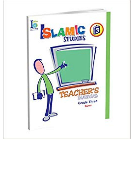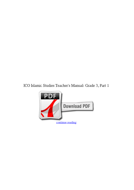**ICO Islamic Studies Teacher's Manual: Grade 3, Part 1**

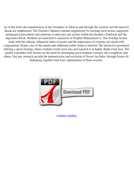As of this level, the manifestation of the Greatness of Allah in and through the creation and the need for ihsaan are emphasized. The Teacher's Manual contains suggestions for teaching each lesson, suggested pedagogical procedures and solutions to exercises and actions within the Student's Textbook and the experience Book. Students are launched to narratives of Prophet Muhammad (s). The worship section deals with the adhaan, obligatory times of prayer and the importance of carrying out salaah with congregation. Proper care of the masjid and additional public home is stressed. The material is presented, utilizing a spiral strategy, where students revisit each area and research it in higher depth every year. The quality concludes with lessons on the need for developing great manners towards one's neighbors and others. Qur'anic research include the memorization and recitation of Soorat An-Naba' through Soorat Al-Inshiqaaq, together with basic explanations of these soorahs.



[continue reading](http://bit.ly/2Tge8Fv)